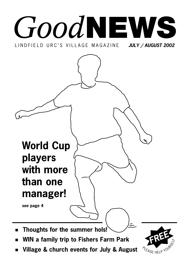## *Good* **NEWS** LINDFIELD URC'S VILLAGE MAGAZINE *JULY / AUGUST 2002*



- **WIN a family trip to Fishers Farm Park**
- **Village & church events for July & August**

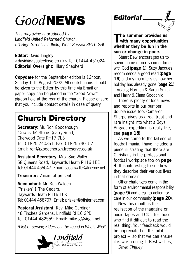## *Good***NEWS**

*This magazine is produced by: Lindfield United Reformed Church, 50 High Street, Lindfield, West Sussex RH16 2HL*

**Editor:** David Tingley <david@visualeclipse.co.uk> Tel: 01444 451024 **Editorial Oversight:** Hilary Shepherd

**Copydate** for the September edition is 12noon, Sunday 11th August 2002. All contributions should be given to the Editor by this time via Email or paper copy can be placed in the "Good News" pigeon hole at the rear of the church. Please ensure that you include contact details in case of query.

### **Church Directory**

**Secretary:** Mr. Ron Goodenough "Downside" Stone Quarry Road, Chelwood Gate RH17 7LS Tel: 01825 740351; Fax: 01825-740157 Email: ron@rgoodenough.freeserve.co.uk

**Assistant Secretary:** Mrs. Sue Waller 58 Queens Road, Haywards Heath RH16 1EE Tel: 01444 455047 Email: susanwaller@lineone.net

**Treasurer:** Vacant at present

**Accountant:** Mr. Ken Walden "Prisken" 1 The Cedars, Haywards Heath RH16 1UR Tel: 01444 458707 Email: prisken@btinternet.com

**Pastoral Assistant:** Rev. Mike Gardiner 48 Finches Gardens, Lindfield RH16 2PB Tel: 01444 482559 Email: mike.g@virgin.net

*A list of serving Elders can be found in Who's Who?*



### *Editorial*

**The summer provides us with many opportunities, whether they be fun in the sun or change in pace.** 

Stuart Dew encourages us to spend some of our summer time with God (**page 1**), Suzy Jacques recommends a good read (**page 16**) and my mum tells us how her holiday has already gone (**page 21**) – visiting Norman & Sarah Smith and Harry & Diana Goodchild.

There is plenty of local news and reports in our bumper double issue too. Cameron Sharpe gives us a real treat and rare insight into what a Boys' Brigade expedition is really like, see **page 18**!

As we come to the tail-end of football mania, I have included a piece illustrating that there are Christians in the professional football workplace too on **page 4**. It is interesting to see how they describe their various lives in that domain.

Other challenges come in the form of environmental responsibility (**page 9**) and a call to action for care in our community (**page 20**).

New this month is the realisation of the magazine on audio tapes and CDs, for those who find it difficult to read the real thing. Your feedback would be appreciated on this pilot project – so that we can ensure it is worth doing it. Best wishes, *David Tingley*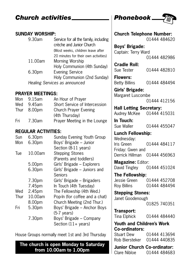### **Church activities \_\_\_\_\_\_\_\_\_\_\_\_ | Phonebook \_\_**

#### **SUNDAY WORSHIP:**

| 9.30am                        | Service for all the family, including<br>crèche and Junior Church |  |
|-------------------------------|-------------------------------------------------------------------|--|
|                               | (Most weeks, children leave after                                 |  |
|                               | 20 minutes for their own activities)                              |  |
| 11.00am                       | Morning Worship                                                   |  |
|                               | Holy Communion (4th Sunday)                                       |  |
| 6.30 <sub>pm</sub>            | <b>Evening Service</b>                                            |  |
|                               | Holy Communion (2nd Sunday)                                       |  |
| Healing Services as announced |                                                                   |  |

### **PRAYER MEETINGS:**

| Mon | 9.15am      | An Hour of Prayer             |
|-----|-------------|-------------------------------|
| Wed | 9.45am      | Short Service of Intercession |
|     | Thur 8.00pm | Church Prayer Evening         |
|     |             | (4th Thursday)                |
| Fri | 7.30am      | Prayer Meeting in the Lounge  |

### **REGULAR ACTIVITIES:**

| Sun<br>Mon | 6.30pm<br>6.30pm   | Sunday Evening Youth Group<br>Boys' Brigade - Junior                    |
|------------|--------------------|-------------------------------------------------------------------------|
|            |                    | Section (8-11 years)                                                    |
| Tue        | 10.00am            | <b>Stepping Stones</b><br>(Parents and toddlers)                        |
|            | 5.00pm             | Girls' Brigade - Explorers                                              |
|            | 6.30 <sub>pm</sub> | Girls' Brigade - Juniors and                                            |
|            |                    | Seniors                                                                 |
|            | 7.30pm             | Girls' Brigade – Brigaders                                              |
|            | 7.45pm             | In Touch (4th Tuesday)                                                  |
| Wed        | 2.45pm             | The Fellowship (4th Wed.)                                               |
| Thur       | 10.00am            | Pop-In (for coffee and a chat)                                          |
|            | 8.00pm             | Church Meeting (2nd Thur.)                                              |
| Fri        | 5.30pm             | Boys' Brigade - Anchor Boys                                             |
|            | 7.30pm             | $(5-7 \text{ years})$<br>Boys' Brigade - Company<br>Section (11+ years) |

House Groups normally meet 1st and 3rd Thursday

**The church is open Monday to Saturday from 10.00am to 1.00pm**



| <b>Church Telephone Number:</b>  | 01444 484620 |
|----------------------------------|--------------|
| <b>Boys' Brigade:</b>            |              |
| Captain: Terry Ward              |              |
|                                  | 01444 482986 |
| <b>Cradle Roll:</b>              |              |
| Sue Tester                       | 01444 482810 |
| <b>Flowers:</b>                  |              |
| <b>Betty Billins</b>             | 01444 484494 |
| Girls' Brigade:                  |              |
| Margaret Luscombe                |              |
|                                  | 01444 412156 |
| <b>Hall Letting Secretary:</b>   |              |
| Audrey McKee 01444 415031        |              |
| In Touch:                        |              |
| Sue Waller                       | 01444 455047 |
| <b>Lunch Fellowship:</b>         |              |
| Wednesday:                       |              |
| Iris Green                       | 01444 484117 |
| Friday: Gwen and                 |              |
| Derrick Hillman 01444 456963     |              |
| Magazine: Editor:                |              |
| David Tingley                    | 01444 451024 |
| The Fellowship:                  |              |
| Jessie Green 01444 452708        |              |
| <b>Roy Billins</b>               | 01444 484494 |
| <b>Stepping Stones:</b>          |              |
| Janet Goodenough                 |              |
|                                  | 01825 740351 |
| Transport:                       |              |
| Tina Elphick                     | 01444 484440 |
| <b>Youth and Children's Work</b> |              |
| Co-ordinators:                   |              |
| Stuart Dew                       | 01444 413694 |
| Rob Biersteker                   | 01444 440835 |
| Junior Church Co-ordinator:      |              |
| Clare Nibloe                     | 01444 484683 |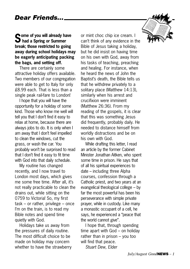### **Some of you will already have had a Spring or Summer break; those restricted to going away during school holidays may be eagerly anticipating packing the bags, and setting off.**

There are certainly some attractive holiday offers available. Two members of our congregation were able to get to Italy for only £8.99 each. That is less than a single peak rail-fare to London!

I hope that you will have the opportunity for a holiday of some kind. Those who know me well will tell you that I don't find it easy to relax at home, because there are always jobs to do. It is only when I am away that I don't feel impelled to clean the windows, cut the grass, or wash the car. You probably won't be surprised to read that I don't find it easy to fit time with God into that daily schedule.

My routine has changed recently, and I now travel to London most days, which gives me some free time. After all, it's not really practicable to clean the drains out, while sitting on the 0759 to Victoria! So, my first task – or rather, privilege – once I'm on the train, is to read my Bible notes and spend time quietly with God.

Holidays take us away from the pressures of daily routine. The most difficult choice to be made on holiday may concern whether to have the strawberry

or mint choc chip ice cream. I can't think of any evidence in the Bible of Jesus taking a holiday, but he did insist on having time on his own with God, away from his tasks of teaching, preaching and healing. For instance, when he heard the news of John the Baptist's death, the Bible tells us that he withdrew privately to a solitary place (Matthew 14:13), similarly when his arrest and crucifixion were imminent (Matthew 26:36). From my reading of the gospels, it is clear that this was something Jesus did frequently, probably daily. He needed to distance himself from worldly distractions and be on his own with God.

While drafting this letter, I read an article by the former Cabinet Minister Jonathan Aitken, who spent some time in prison. He says that of all his spiritual experiences to date – including three Alpha courses, confession through a Catholic priest, and two years at an evangelical theological college – by far the most powerful has been his perseverance with simple private prayer, while in custody. Like many a monastic occupant of a cell, he says, he experienced a "peace that the world cannot give".

I hope that, through spending time apart with God – on holiday rather than in prison – you too will find that peace.

*Stuart Dew, Elder*

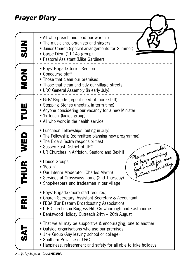*Prayer Diary*

| <b>NUS</b>        | • All who preach and lead our worship<br>• The musicians, organists and singers<br>• Junior Church (special arrangements for Summer)<br>• Carpe Diem (11-14s group)<br>• Pastoral Assistant (Mike Gardiner)                                                     |
|-------------------|-----------------------------------------------------------------------------------------------------------------------------------------------------------------------------------------------------------------------------------------------------------------|
| NON<br>N          | • Boys' Brigade Junior Section<br>• Concourse staff<br>• Those that clean our premises<br>• Those that clean and tidy our village streets<br>• URC General Assembly (in early July)                                                                             |
| TUE               | • Girls' Brigade (urgent need of more staff)<br>• Stepping Stones (meeting in term time)<br>• Anyone considering our vacancy for a new Minister<br>• 'In Touch' (ladies group)<br>• All who work in the health service                                          |
| WED               | • Luncheon Fellowships (outing in July)<br>• The Fellowship (committee planning new programme)<br>• The Elders (extra responsibilities)<br>• Sussex East District of URC<br>• UR Churches in Alfriston, Seaford and Bexhill                                     |
| THUR <sup>1</sup> | Please remember<br>To keep seeking<br>to keep seeking<br>God's will for our<br>• House Groups<br>• 'Pop-in'<br>• Our Interim Moderator (Charles Martin)<br>• Services at Crossways home (2nd Thursday)<br>• Shop-keepers and tradesmen in our village           |
| $\bf{\bar{R}}$    | · Boys' Brigade (more staff required)<br>• Church Secretary, Assistant Secretary & Accountant<br>• FEBA (Far Eastern Broadcasting Association)<br>• U R Churches in Burgess Hill, Crowborough and Eastbourne<br>• Bentswood Holiday Outreach 24th - 26th August |
| トマの               | • That we all may be supportive & encouraging, one to another<br>• Outside organisations who use our premises<br>• 14+ Group (Any leaving school or college)<br>• Southern Province of URC<br>• Happiness, refreshment and safety for all able to take holidays |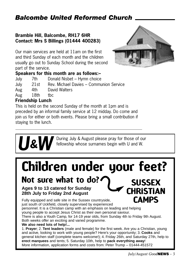### *Balcombe United Reformed Church*

#### **Bramble Hill, Balcombe, RH17 6HR Contact: Mrs S Billings (01444 400283)**

Our main services are held at 11am on the first and third Sunday of each month and the children usually go out to Sunday School during the second part of the service.



#### **Speakers for this month are as follows:–**

| July | 7th   | Donald Nisbet - Hymn choice             |
|------|-------|-----------------------------------------|
| July | 21st  | Rev. Michael Davies - Communion Service |
| Aug  | 4th l | David Walters                           |
| Aug  | 18th  | thc.                                    |

#### **Friendship Lunch**

This is held on the second Sunday of the month at 1pm and is preceded by an informal family service at 12 midday. Do come and join us for either or both events. Please bring a small contribution if staying to the lunch.

> **Payment Contring July & August please pray for those of our fellowship whose surnames begin with U and W.** fellowship whose surnames begin with U and W.

## **Children under your feet?**

**Not sure what to do?** SUSSEX

**Ages 9 to 13 catered for Sunday 28th July to Friday 2nd August**

Fully equipped and safe site in the Sussex countryside, just south of Uckfield, closely supervised by experienced personnel. It is a Christian camp with an emphasis on leading and helping young people to accept Jesus Christ as their own personal saviour. There is also a Youth Camp, for 14-19 year olds, from Sunday 4th to Friday 9th August. Both weeks offer an exciting and varied programme. **We also need lots of help!...** 1. **Prayer**; 2. **Tent leaders** (male and female) for the first week. Are you a Christian, young **CAMPS**

and active, looking to work with young people? Here's your opportunity; 3. **Cooks** and general kitchen staff (complete teams welcome!); 4. Friday 26th, and Saturday 27th, help to **erect marquees** and tents; 5. Saturday 10th, help to **pack everything away**! More information, application forms and costs from: Peter Trump – 01444-451572

**CHRISTIAN**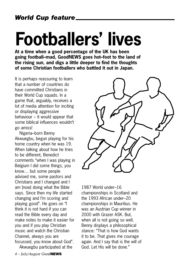# **Footballers' lives**

**At a time when a good percentage of the UK has been going football–mad, GoodNEWS goes hot–foot to the land of the rising sun, and digs a little deeper to find the thoughts of some Christian footballers who battled it out in Japan.**

It is perhaps reassuring to learn that a number of countries do have committed Christians in their World Cup squads. In a game that, arguably, receives a lot of media attention for inciting or displaying aggressive behaviour – it would appear that some biblical influences wouldn't go amiss!

Nigeria–born Benny Akwuegbu, begun playing for his home country when he was 19. When talking about how he tries to be different, Benedict comments "when I was playing in Belgium I did some things, you know… but some people advised me, some pastors and Christians and I changed and I am [now] doing what the Bible says. Since then my life started changing and I'm scoring and playing good". He goes on "I think it is not hard if you can read the Bible every day and make notes to make it easier for you and if you play Christian music and watch the Christian Channel, always you are focussed, you know about God". Akwuegbu participated at the



1987 World under–16 championships in Scotland and the 1993 African under–20 championships in Mauritius. He was an Austrian Cup winner in 2000 with Grazer ASK. But, when all is not going so well, Benny displays a philosophical stance: "That is how God wants it to be. That gives me courage again. And I say that is the will of God. Let His will be done."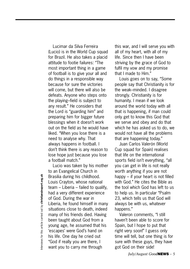Lucimar da Silva Ferreira (Lucio) is in the World Cup squad for Brazil. He also takes a placid attitude to footie failures: "The most important thing in a game of football is to give your all and do things in a responsible way because for sure the victories will come, but there will also be defeats. Anyone who steps onto the playing–field is subject to any result." He considers that the Lord is "guarding him" and preparing him for bigger future blessings when it doesn't work out on the field as he would have liked. "When you lose there is a need to analyse why. That always happens in football. I don't think there is any reason to lose hope just because you lose a football match."

Lucio was taken by his mother to an Evangelical Church in Brasilia during his childhood. Louis Crayton, whose national team – Liberia – failed to qualify, had a very different experience of God. During the war in Liberia, he found himself in many situations close to death, indeed many of his friends died. Having been taught about God from a young age, he assumed that his 'escapes' were God's hand on his life. One day he cried out "God if really you are there, I want you to carry me through

this war, and I will serve you with all of my heart, with all of my life. Since then I have been striving by the grace of God to fulfil my vow and my promise that I made to Him."

Louis goes on to say, "Some people say that Christianity is for the weak–minded. I disagree strongly. Christianity is for humanity. I mean if we look around the world today with all that is happening, if man could only get to know this God that we serve and obey and do that which he has asked us to do, we would not have all the problems that are happening today."

Juan Carlos Valerón (World Cup squad for Spain) realises that life on the international sports field isn't everything, "all you can get in life is not really worth anything if you are not happy – if your heart is not filled with God." He cites the Bible as the tool which God has left to us to help us. In particular "Psalm 23, which tells us that God will always be with us, whatever happens."

Valeron comments, "I still haven't been able to score for Spain, but I hope to put that right very soon!" I guess only time will tell, but one thing is for sure with these guys, they have got God on their side!

nterviews for this article carried out by christiansinsport.org.uk Interviews for this article carried out by **christiansinsport.org.uk**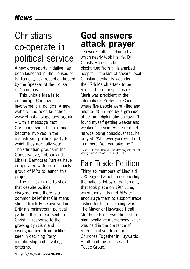### **Christians** co-operate in political service

A new cross-party initiative has been launched in The Houses of Parliament, at a reception hosted by the Speaker of the House of Commons.

This unique idea is to encourage Christian involvement in politics. A new website has been launched – www.christiansinpolitics.org.uk – with a message that Christians should join in and become involved in the mainstream political party for which they normally vote. The Christian groups in the Conservative, Labour and Liberal Democrat Parties have cooperated with a cross-party group of MPs to launch this project.

The initiative aims to show that despite political disagreements there is a common belief that Christians should fruitfully be involved in Britain's mainstream political parties. It also represents a Christian response to the growing cynicism and disengagement from politics seen in declining Party membership and in voting patterns.

**God answers attack prayer**

Ten weeks after a church blast which nearly took his life, Dr Christy Munir has been discharged from an Islamabad hospital – the last of several local Christians critically wounded in the 17th March attack to be released from hospital care. Munir was president of the International Protestant Church where five people were killed and another 45 injured by a grenade attack in a diplomatic enclave. "I found myself getting weaker and weaker," he said. As he realised he was losing consciousness, he prayed: "Whatever your will, Lord, I am here. You can take me."

Source: Christian Herald – the UK's only inter-church weekly. Subscribe on 01903 602100

### Fair Trade Petition

Thirty six members of Lindfield URC signed a petition supporting the national lobby of parliament, that took place on 19th June, when thousands met MPs to encourage them to support trade justice for the developing world. The Mayor of Haywards Heath, Mrs Irene Balls, was the last to sign locally, at a ceremony which was held in the presence of representatives from the Churches Together in Haywards Heath and the Justice and Peace Group.

*6 – July/August Good***NEWS**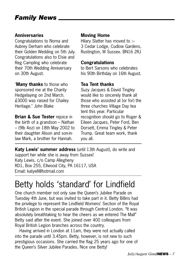#### **Anniversaries**

Congratulations to Norna and Aubrey Derham who celebrate their Golden Wedding on 5th July. Congratulations also to Elsie and Reg Campling who celebrate their 70th Wedding Anniversary on 30th August.

"**Many thanks** to those who sponsored me at the Charity Hedgelaying on 2nd March. £3000 was raised for Chailey Heritage." *John Blake* 

**Brian & Sue Tester** rejoice in the birth of a grandson – Nathan – (9lb 4oz) on 18th May 2002 to their daughter Alison and son-inlaw Mark, a brother for Hannah.

#### **Moving Home**

Hilary Slatter has moved to :– 3 Cedar Lodge, Cudlow Gardens, Rustington, W Sussex. BN16 2RJ

#### **Congratulations**

to Bert Sarsons who celebrates his 90th Birthday on 16th August.

#### **Tea Tent thanks**

Suzy Jacques & David Tingley would like to sincerely thank all those who assisted at (or for) the three churches Village Day tea tent this year. Particular recognition should go to Roger & Eileen Jacques, Peter Ford, Ben Dorsett, Emma Tingley & Peter Trump. Great team work, thank you all.

**Katy Lewis' summer address** (until 13th August), do write and support her while she is away from Sussex! Katy Lewis, c/o Camp Allegheny RD1, Box 255, Ellwood City, PA 16117, USA Email: katyell@hotmail.com

### Betty holds 'standard' for Lindfield

One church member not only saw the Queen's Jubilee Parade on Tuesday 4th June, but was invited to take part in it. Betty Billins had the privilege to represent the Lindfield Womens' Section of the Royal British Legion in the special parade through Central London. "It was absolutely breathtaking to hear the cheers as we entered The Mall" Betty said after the event. She joined over 400 colleagues from Royal British Legion branches across the country.

Having arrived in London at 11am, they were not actually called into the parade until 3.45pm. Betty, however, is not new to such prestigious occasions. She carried the flag 25 years ago for one of the Queen's Silver Jubilee Parades. Nice one Betty!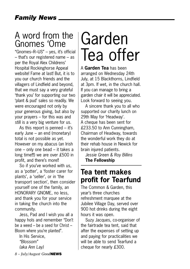### A word from the Gnomes 'Ome

"Gnomes–R–US" – yes, it's official – that's our registered name – as per the Royal Alex Childrens' Hospital Rockinghorse Appeal website! Fame at last! But, it is to you our church friends and the villagers of Lindfield and beyond, that we must say a very grateful 'thank you' for supporting our two 'plant & pud' sales so readily. We were encouraged not only by your generous giving, but also by your prayers – for this was and still is a very big venture for us.

As this report is penned – it's early June – an end (monetary) total is not possible as yet. However on my abacus (an Irish one – only one bead – it takes a long time!!!) we are over £500 in profit, and there's more!!

So if you've worked with us, as a 'potter', a 'foster carer for plants', a 'seller', or in 'the transport section', then consider yourself one of the family, an HONORARY GNOME, no less, and thank you for your service in taking the church into the community.

Jess, Pad and I wish you all a happy hols and remember "Don't be a weed – be a seed for Christ – Bloom where you're planted".

In His Service, *"Blossom" (aka Ann Lay)*

*8 – July/August Good***NEWS**

## Garden Tea offer

A **Garden Tea** has been arranged on Wednesday 24th July, at 15 Blackthorns, Lindfield at 3pm. If wet, in the church hall. If you can manage to bring a garden chair it will be appreciated. Look forward to seeing you.

A sincere thank you to all who supported our charity lunch on 29th May for 'Headway'. A cheque has been sent for £233.50 to Ann Cunningham, Chairman of Headway, towards the wonderful work they do at their rehab house in Newick for brain injured patients.

*Jessie Green & Roy Billins* **The Fellowship**

### **Tea tent makes profit for Tearfund**

The Common & Garden, this year's three churches refreshment marquee at the Jubilee Village Day, served over 900 hot drinks during the eight hours it was open.

Suzy Jacques, co-organiser of the fairtrade tea tent, said that after the expenses of setting up and paying for practicalities we will be able to send Tearfund a cheque for nearly £300.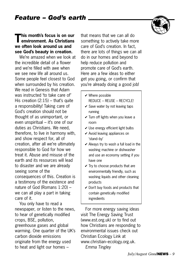### **This month's focus is on our environment. As Christians we often look around us and see God's beauty in creation.**

We're amazed when we look at the incredible detail of a flower and we're filled with awe when we see new life all around us. Some people feel closest to God when surrounded by his creation. We read in Genesis that Adam was instructed 'to take care of' His creation (2:15) – that's quite a responsibility! Taking care of God's creation should not be thought of as unimportant, or even unspiritual – it's one of our duties as Christians. We need, therefore, to live in harmony with, and show respect for, all of creation, after all we're ultimately responsible to God for how we treat it. Abuse and misuse of the earth and its resources will lead to disaster and we are already seeing some of the consequences of this. Creation is a testimony of the existence and nature of God (Romans 1:20) – we can all play a part in taking care of it.

You only have to read a newspaper, or listen to the news, to hear of genetically modified crops, BSE, pollution, greenhouse gases and global warming. One quarter of the UK's carbon dioxide emissions originate from the energy used to heat and light our homes –

that means that we can all do something to actively take more care of God's creation. In fact, there are lots of things we can all do in our homes and beyond to help reduce pollution and promote care of God's earth. Here are a few ideas to either get you going, or confirm that you're already doing a good job!

- $\checkmark$  Where possible REDUCE – REUSE – RECYCLE!
- $\checkmark$  Save water by not leaving taps running
- $\checkmark$  Turn off lights when you leave a room
- $\vee$  Use energy efficient light bulbs
- $\vee$  Avoid leaving appliances on 'stand–by'
- $\vee$  Always try to wash a full load in the washing machine or dishwasher and use an economy setting if you have one
- $\checkmark$  Try to choose products that are environmentally friendly, such as washing liquids and other cleaning products
- $\vee$  Don't buy foods and products that contain genetically modified ingredients

For more energy saving ideas visit The Energy Saving Trust (www.est.org.uk) or to find out how Christians are responding to environmental issues check out Christian Ecology Link at www.christian–ecology.org.uk. *Emma Tingley*

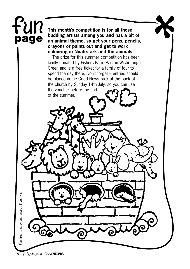## Fun **page**

**This month's competition is for all those budding artists among you and has a bit of an animal theme, so get your pens, pencils, crayons or paints out and get to work colouring in Noah's ark and the animals.** 

The prize for this summer competition has been kindly donated by Fishers Farm Park in Wisborough Green and is a free ticket for a family of four to spend the day there. Don't forget – entries should be placed in the Good News rack at the back of the church by Sunday 14th July, so you can use the voucher before the end

of the summer.

*10 – July/August Good***NEWS**

Feel free to copy and enlarge if you wish Feel free to copy and enlarge if you wish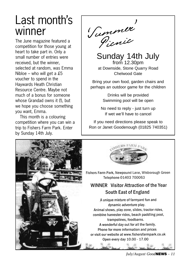## Last month's winner

The June magazine featured a competition for those young at heart to take part in. Only a small number of entries were received, but the winner, selected at random, was Emma Nibloe – who will get a £5 voucher to spend in the Haywards Heath Christian Resource Centre. Maybe not much of a bonus for someone whose Grandad owns it (!), but we hope you choose something you want, Emma.

This month is a colouring competition where you can win a trip to Fishers Farm Park. Enter by Sunday 14th July.

S' ummer' Picnic

Sunday 14th July from 12.30pm at Downside, Stone Quarry Road Chelwood Gate

Bring your own food, garden chairs and perhaps an outdoor game for the children

> Drinks will be provided Swimming pool will be open

No need to reply - just turn up If wet we'll have to cancel

If you need directions please speak to Ron or Janet Goodenough (01825 740351)

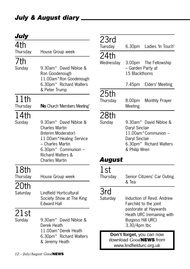| July             |                                                                                                                                                                                            |                         |
|------------------|--------------------------------------------------------------------------------------------------------------------------------------------------------------------------------------------|-------------------------|
| 4th              |                                                                                                                                                                                            | 23rd<br>Tuesday         |
| Thursday<br>7th  | House Group week                                                                                                                                                                           | 24th<br>Wednesday       |
| Sunday           | 9.30am* David Nibloe &<br>Ron Goodenough<br>11.00am*Ron Goodenough<br>6.30pm* Richard Walters<br>& Peter Trump                                                                             |                         |
| 11th<br>Thursday | No Church 'Members Meeting'                                                                                                                                                                | 25th<br>Thursday        |
| 14th<br>Sunday   | 9.30am* David Nibloe &<br><b>Charles Martin</b><br>(Interim Moderator)<br>11.00am*Healing Service<br>- Charles Martin<br>6.30pm* Communion -<br>Richard Walters &<br><b>Charles Martin</b> | 28th<br>Sunday<br>Augus |
| 18th<br>Thursday | House Group week                                                                                                                                                                           | 1st<br>Thursday         |
| 20th<br>Saturday | Lindfield Horticultural<br>Society Show at The King<br><b>Edward Hall</b>                                                                                                                  | 3rd<br>Saturday         |
| 21st<br>Sunday   | 9.30am* David Nibloe &<br>Derek Heath<br>11.00am*Derek Heath<br>6.30pm* Richard Walters<br>& Jeremy Heath                                                                                  | Don<br>dowr<br>wv       |

| 23rd<br>Tuesday                                                                | 6.30pm                                                                                                                                                | Ladies 'In Touch'           |
|--------------------------------------------------------------------------------|-------------------------------------------------------------------------------------------------------------------------------------------------------|-----------------------------|
| 24th<br>Wednesday                                                              | 3.00pm The Fellowship<br>- Garden Party at<br>15 Blackthorns                                                                                          |                             |
|                                                                                | 7.45pm                                                                                                                                                | Elders' Meeting             |
| 25th<br>Thursday                                                               | 8.00pm<br>Meeting                                                                                                                                     | Monthly Prayer              |
| 28th<br>Sunday                                                                 | 9.30am* David Nibloe &<br>Daryl Sinclair<br>11.00am*Communion -<br>Daryl Sinclair<br>6.30pm* Richard Walters<br>& Philip Wren                         |                             |
| August                                                                         |                                                                                                                                                       |                             |
| 1st<br>Thursday                                                                | & Tea                                                                                                                                                 | Senior Citizens' Car Outing |
| 3rd<br>Saturday                                                                | Induction of Revd. Andrew<br>Fairchild to the joint<br>pastorate at Haywards<br>Heath URC (remaining with<br><b>Burgess Hill URC)</b><br>3.30/4pm tbc |                             |
| Don't forget, you can now<br>download GoodNEWS from<br>www.lindfieldurc.org.uk |                                                                                                                                                       |                             |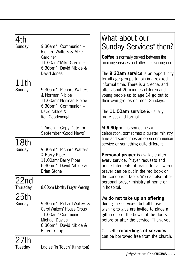## $4th$ <br>Sundav

 $9.30$ am $*$  Communion – Richard Walters & Mike Gardiner 11.00am\*Mike Gardiner 6.30pm\* David Nibloe & David Jones

## 11th<br>Sunday

9.30am\* Richard Walters & Norman Nibloe 11.00am\*Norman Nibloe 6.30pm\* Communion – David Nibloe & Ron Goodenough

> 12noon Copy Date for September 'Good News'

### 18th

Sunday 9.30am\* Richard Walters & Barry Piper 11.00am\*Barry Piper 6.30pm\* David Nibloe & Brian Stone

### 22nd

Thursday 8.00pm Monthly Prayer Meeting

25th

Sunday 9.30am\* Richard Walters & Carol Walters' House Group 11.00am\*Communion – Michael Davies 6.30pm\* David Nibloe & Peter Trump

27th

### What about our Sunday Services\* then?

**Coffee** is normally served between the morning services and after the evening one.

The **9.30am service** is an opportunity for all age groups to join in a relaxed informal time. There is a crèche, and after about 20 minutes children and young people up to age 14 go out to their own groups on most Sundays.

The **11.00am service** is usually more set and formal.

At **6.30pm** it is sometimes a celebration, sometimes a quieter ministry time and sometimes an open communion service or something quite different!

**Personal prayer** is available after every service. Prayer requests and brief statements of praise for answered prayer can be put in the red book on the concourse table. We can also offer personal prayer ministry at home or in hospital.

### We **do not take up an offering**

during the services, but all those wishing to give are invited to place a gift in one of the bowls at the doors before or after the service. Thank you.

Cassette **recordings of services** can be borrowed free from the church.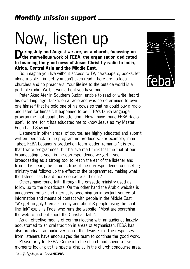# Now, listen up

**During July and August we are, as a church, focussing on the marvellous work of FEBA, the organisation dedicated to beaming the good news of Jesus Christ by radio to India, Africa, Central Asia and the Middle East.** 

So, imagine you live without access to TV, newspapers, books, let alone a bible... in fact, you can't even read. There are no local churches and no preachers. Your lifeline to the outside world is a portable radio. Well, it would be if you have one.

Peter Akec Ater in Southern Sudan, unable to read or write, heard his own language, Dinka, on a radio and was so determined to own one himself that he sold one of his cows so that he could buy a radio and listen for himself. It happened to be FEBA's Dinka language programme that caught his attention. "Now I have found FEBA Radio useful to me, for it has educated me to know Jesus as my Master, Friend and Saviour".

Listeners in other areas, of course, are highly educated and submit written feedback to the programme producers. For example, Iman Tabet, FEBA Lebanon's production team leader, remarks "It is true that I write programmes, but believe me I think that the fruit of our broadcasting is seen in the correspondence we get. I see broadcasting as a strong tool to reach the ear of the listener and from it his heart, the same is true of the correspondence counselling ministry that follows up the effect of the programmes, making what the listener has heard more concrete and clear."

Others have found faith through the cassette ministry used as follow up to the broadcasts. On the other hand the Arabic website is announced on air and Internet is becoming an important source of information and means of contact with people in the Middle East. "We get roughly 5 emails a day and about 8 people using the chat line link" explains Fadel who runs the website. "Most are searching the web to find out about the Christian faith".

As an effective means of communicating with an audience largely accustomed to an oral tradition in areas of Afghanistan, FEBA has also broadcast an audio version of the Jesus Film. The responses from listeners have encouraged the team to continue the good work.

Please pray for FEBA. Come into the church and spend a few moments looking at the special display in the church concourse area.

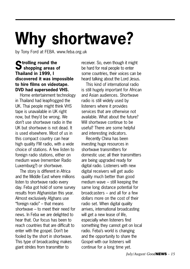# **Why shortwave?**

by Tony Ford at FEBA. www.feba.org.uk

### **Strolling round the shopping areas of Thailand in 1999, I discovered it was impossible to hire films on videotape. DVD had superseded VHS.**

Home entertainment technology in Thailand had leapfrogged the UK. Thai people might think VHS tape is unavailable in UK right now, but they'd be wrong. We don't use shortwave radio in the UK but shortwave is not dead. It is used elsewhere. Most of us in this compact country can hear high quality FM radio, with a wide choice of stations. A few listen to foreign radio stations, either on medium wave (remember Radio Luxemburg?) or shortwave.

The story is different in Africa and the Middle East where millions listen to shortwave radio every day. Feba got hold of some survey results from Afghanistan this year. Almost exclusively Afghans use "foreign radio" – that means shortwave – to meet their need for news. In Feba we are delighted to hear that. Our focus has been to reach countries that are difficult to enter with the gospel. Don't be fooled by the short in shortwave. This type of broadcasting makes giant strides from transmitter to

receiver. So, even though it might be hard for real people to enter some countries, their voices can be heard talking about the Lord Jesus.

This kind of international radio is still hugely important for African and Asian audiences. Shortwave radio is still widely used by listeners where it provides services that are otherwise not available. What about the future? Will shortwave continue to be useful? There are some helpful and interesting indicators.

Recently China has been investing huge resources in shortwave transmitters for domestic use; all their transmitters are being upgraded ready for digital radio. Listeners with new digital receivers will get audio quality much better than good medium wave – still keeping the same long distance potential for broadcasters – and all for a few dollars more on the cost of their radio set. When digital quality arrives, international broadcasting will get a new lease of life, especially when listeners find something they cannot get on local radio. Feba's world is changing and the opportunity to share the Gospel with our listeners will continue for a long time yet.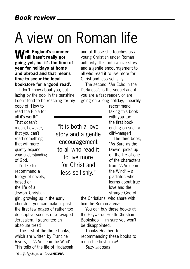## A view on Roman life

**Well, England's summer still hasn't really got going yet, but it's the time of year for holidays at home and abroad and that means time to scour the local bookstore for a 'good read'.**

I don't know about you, but lazing by the pool in the sunshine, I don't tend to be reaching for my

and all those she touches as a young Christian under Roman authority. It is both a love story and a gentle encouragement to all who read it to live more for Christ and less selfishly.

The second, "An Echo in the Darkness", is the sequel and if you are a fast reader, or are going on a long holiday, I heartily

copy of "How to read the Bible for all it's worth". That doesn't mean, however, that you can't read something that will more quietly expand your understanding of God.

I'd like to recommend a trilogy of novels, based on the life of a Jewish–Christian

"It is both a love story and a gentle encouragement to all who read it to live more for Christ and less selfishly."

recommend taking this book with you too – the first book ending on such a cliff–hanger!

The third book, "As Sure as the Dawn", picks up on the life of one of the characters from "A Voice in the Wind" – a gladiator, who learns about true love and the strange God of

girl, growing up in the early the Christians, who share with him the Roman arenas. You can buy these books at

the Haywards Heath Christian Bookshop – I'm sure you won't be disappointed.

Thanks Heather, for recommending these books to me in the first place! *Suzy Jacques*

church. If you can make it past the first few pages of rather too descriptive scenes of a ravaged Jerusalem, I guarantee an absolute treat! The first of the three books,

which are written by Francine Rivers, is "A Voice in the Wind". This tells of the life of Hadassah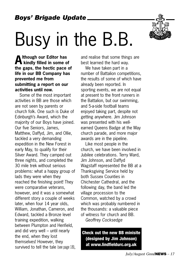*Boys' Brigade Update*

# Busy in the B.B.

**Although our Editor has kindly filled in some of the gaps, the hectic pace of life in our BB Company has prevented me from submitting a report on our activities until now.** 

Some of the most important activities in BB are those which are not seen by parents or church folk. One such is Duke of Edinburgh's Award, which the majority of our Boys have joined. Our five Seniors, James, Matthew, Daffyd, Jim, and Ollie, tackled a very demanding expedition in the New Forest in early May, to qualify for their Silver Award. They camped out three nights, and completed the 30 mile trek without serious problems: what a happy group of lads they were when they reached the finishing point! They were comparative veterans, however, and it was a somewhat different story a couple of weeks later, when four 14 year olds, William, Jonathan, Cameron, and Edward, tackled a Bronze level training expedition, walking between Plumpton and Henfield, and did very well – until nearly the end, when they lost themselves! However, they survived to tell the tale (see page 18), and realise that some things are best learned the hard way.

We have taken part in a number of Battalion competitions, the results of some of which have already been reported. In sporting events, we are not equal at present to the front runners in the Battalion, but our swimming, and 5-a-side football teams enjoyed taking part, despite not getting anywhere. Jim Johnson was presented with his wellearned Queens Badge at the May church parade, and more major awards are in the pipeline.

Like most people in the church, we have been involved in Jubilee celebrations. Terry Ward, Jim Johnson, and Daffyd Wagstaff represented the BB at a Thanksgiving Service held by both Sussex Counties in Chichester Cathedral, and the following day, the band led the village procession to the Common, watched by a crowd which was probably numbered in the thousands: a valuable piece of witness for church and BB. *Geoffrey Cocksedge* 

**Check out the new BB minisite (designed by Jim Johnson) at www.lindfieldurc.org.uk**

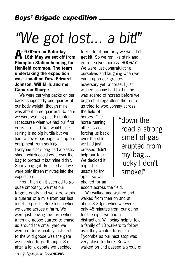# *"We got lost... a bit!"*

**At 9.00am on Saturday 18th May we set off from Plumpton Station heading for Henfield common. The team undertaking the expedition was: Jonathan Dew, Edward Johnson, Will Mills and me Cameron Sharpe.** 

We were carrying packs on our backs supposedly one quarter of our body weight, though mine was about three quarters! So here we were walking past Plumpton racecourse when we had our first crisis, it rained. You would think raining is no big hurdle but we had to cover our bags to stop our equipment from soaking. Everyone else's bag had a plastic sheet, which could wrap over the bag to protect it but mine didn't. So my bag got drenched and we were only fifteen minutes into the expedition!

From then on it seemed to go quite smoothly, we met our targets easily and we were within a quarter of a mile from our last meet up point before lunch when we came across a farm. We were just leaving the farm when a female goose started to chase us around the small yard we were in. Unfortunately just next to the wild goose was the gate we needed to go through. So after a long debate we decided

to run for it and pray we wouldn't get hit. So we ran like stink and got ourselves across. HOORAY!! We were just congratulating ourselves and laughing when we came upon our greatest adversary yet, a horse. I just wished Johnny had told us he was scared of horses before we began but regardless the rest of us tried to woo Johnny across

the field of horses. One horse running after us and forcing us back over the stile we had just crossed didn't help our task. We decided it might be unsafe to try again so we phoned for an

"down the road a strong smell of gas erupted from my bag... lucky I don't smoke!"

escort across the field.

We walked and walked and walked from then on and at about 3.30pm when we were only 45 minutes from our camp for the night we had a distraction. Will being helpful told a family of 10 walkers to follow us if they wanted to get to Pycombe as our next stop was very close to there. So we walked on and passed a group of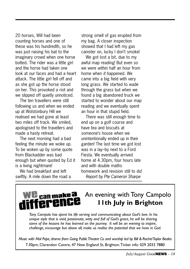20 horses, Will had been counting horses and one of these was his hundredth, so he was just raising his bat to the imaginary crowd when one horse bolted. The rider was a little girl and the horse had taken one look at our faces and had a heart attack. The little girl fell off and as she got up the horse stood on her. This provoked a riot and we slipped off quietly unnoticed.

The ten travellers were still following us and when we ended up at Wolstonbury Hill we realised we had gone at least two miles off track. We smiled, apologised to the travellers and made a hasty retreat.

The next morning had a bad feeling the minute we woke up. To be woken up by some quote from Blackadder was bad enough but when quoted by Ed it is a living nightmare!

We had breakfast and left swiftly. A mile down the road a strong smell of gas erupted from my bag. A closer inspection showed that I had left my gas canister on, lucky I don't smoke!

We got lost a bit, due to my awful map reading! But even so we were within half an hour from home when *it* happened. We came into a big field with very long grass. We started to wade through the grass but when we found a big abandoned truck we started to wonder about our map reading and we eventually spent an hour in that stupid field.

There was still enough time to end up on a golf course and have tea and biscuits at someone's house when we unintentionally ended up in their garden! The last time we got lost was in a lay–by next to a Ford Fiesta. We eventually arrived home at 4.30pm, four hours late and with double maths homework and revision still to do! *Report by Pte Cameron Sharpe*

### can make a An evening with Tony Campolo **11th July in Brighton**

*Tony Campolo has spent his life serving and communicating about God's love. In his unique style that is vivid, passionate, witty and full of God's grace, he will be sharing some of the lessons he has learned on the journey. It will be an evening to inspire, challenge, encourage but above all, make us realise the potential that we have in God.*

*Music with Mal Pope, drama from Going Public Theatre Co and worship led by Bill & Rachel Taylor Beales* 7.30pm, Clarendon Centre, 47 New England St, Brighton.Ticket info: 029 2033 7880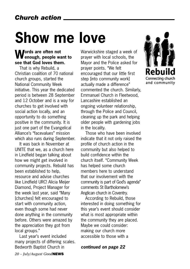# **Show me love**

### **Words are often not enough, people want to see that God loves them.**

That is why Rebuild, a Christian coalition of 70 national church groups, started the National Community Week initiative. This year the dedicated period is between 28 September and 12 October and is a way for churches to get involved with social action locally, and an opportunity to do something positive in the community. It is just one part of the Evangelical Alliance's "facevalues" mission which also runs during September.

It was back in November at UNITE that we, as a church here in Lindfield began talking about how we might get involved in community projects. Rebuild has been established to help, resource and advise churches like Lindfield URC! Alicia Meijer Diamond, Project Manager for the week last year, said "Many [churches] felt encouraged to start with community action, even though some had never done anything in the community before. Others were amazed by the appreciation they got from local groups."

Last year's event included many projects of differing scales. Bedworth Baptist Church in

Warwickshire staged a week of prayer with local schools, the Mayor and the Police asked for prayer points. "We felt encouraged that our little first step [into community work] actually made a difference" commented the church. Similarly, Emmanuel Church in Fleetwood, Lancashire established an ongoing volunteer relationship, through the Police and Council, cleaning up the park and helping older people with gardening jobs in the locality.

Those who have been involved indicate that it not only raised the profile of church action in the community but also helped to build confidence within the church itself. "Community Week has helped some church members here to understand that our involvement with the community is part of God's agenda" comments St Bartholomew's Anglican church in Coventry.

According to Rebuild, those interested in doing something for this year's event should consider what is most appropriate within the community they are placed. Maybe we could consider: making our church more accessible to those with a

*continued on page 22*

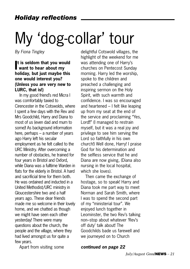# My 'dog-collar' tour

*By Fiona Tingley*

#### **I t is seldom that you would want to hear about my holiday, but just maybe this one would interest you? (Unless you are very new to LURC, that is!)**

In my good friend's red Micra I was comfortably taxied to Cirencester in the Cotswolds, where I spent a few days with the Rev and Mrs Goodchild, Harry and Diana to most of us (even dad and mum to some)! As background information here, perhaps – a number of years ago Harry left his secular employment as he felt called to the URC Ministry. After overcoming a number of obstacles, he trained for four years in Bristol and Oxford, while Diana was a fulltime Warden in flats for the elderly in Bristol. A hard and sacrificial time for them both. He was ordained and inducted in a United Methodist/URC ministry in Gloucestershire two and a half years ago. These dear friends made me so welcome in their lovely home, and we chatted as though we might have seen each other yesterday! There were many questions about the church, the people and the village, where they had lived amongst us for quite a few years.

Apart from visiting some

delightful Cotswold villages, the highlight of the weekend for me was attending one of Harry's churches on Pentecost Sunday morning. Harry led the worship, spoke to the children and preached a challenging and inspiring sermon on the Holy Spirit, with such warmth and confidence. I was so encouraged and heartened – I felt like leaping up from my seat at the end of the service and proclaiming "Yes, Lord!!" (I managed to restrain myself, but it was a real joy and privilege to see him serving the Lord so faithfully in his own church!) Well done, Harry! I praise God for his determination and the selfless service that he and Diana are now giving, (Diana also nursing in the local hospital, which she loves).

Then came the exchange of hostage, so to speak! Harry and Diana took me part way to meet Norman and Sarah Smith, where I was to spend the second part of my "ministerial tour". We enjoyed lunch together in Leominster, the two Rev's talking non–stop about whatever 'Rev's off duty' talk about! The Goodchilds bade us farewell and we journeyed on to Church

*continued on page 22*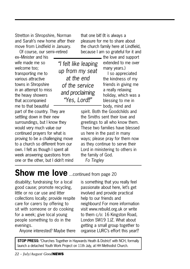Stretton in Shropshire, Norman and Sarah's new home after their move from Lindfield in January.

Of course, our semi–retired

ex–Minister and his wife made me so welcome too; transporting me to various attractive towns in Shropshire in an attempt to miss the heavy showers that accompanied me to that beautiful

*"I felt like leaping up from my seat at the end of the service and proclaiming "Yes, Lord!!"*

part of the country. They are settling down in their new surroundings, but I know they would very much value our continued prayers for what is proving to be a challenging move to a church so different from our own. I felt as though I spent all week answering questions from one or the other, but I didn't mind that one bit! (It is always a pleasure for me to share about the church family here at Lindfield, because I am so grateful for it and

> the love and support extended to me over many years.) I so appreciated

the kindness of my friends in giving me a really relaxing holiday, which was a blessing to me in body, mind and

spirit. Both the Goodchilds and the Smiths sent their love and greetings to all who know them. These two families have blessed us here in the past in many ways; please pray for them now as they continue to serve their Lord in ministering to others in the family of God. *Fo Tingley*

### **Show me love** ...continued from page 20

disability; fundraising for a local good cause; promote recycling, little or no car use and litter collections locally; provide respite care for carers by offering to sit with someone or do cooking for a week; give local young people something to do in the evenings.

Anyone interested? Maybe there

is something that you really feel passionate about here, let's get involved and provide practical help to our friends and neighbours! For more information visit www.rebuild.org.uk or write to them c/o: 16 Kingston Road, London SW19 1JZ. What about getting a small group together to organise LURC's effort this year!?

**STOP PRESS: '**Churches Together in Haywards Heath & District' with NCH, formally launch a detached Youth Work Project on 11th July, at HH Methodist Church.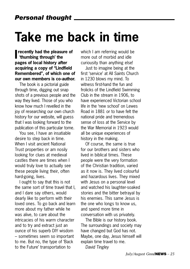## **Take me back in time**

**I** recently had the pleasu<br>thumbing through' the **recently had the pleasure of pages of local history after acquiring a copy of "Lindfield Remembered", of which one of our own members is co-author.** 

The book is a pictorial guide through time, digging out snap shots of a previous people and the way they lived. Those of you who know how much I revelled in the joy of researching our own church history for our website, will guess that I was looking forward to the publication of this particular tome.

You see, I have an insatiable desire to step back in time. When I visit ancient National Trust properties or am nosily looking for clues at medieval castles there are times when I would truly love to actually see these people living their, often hard-going, lives.

I ought to say that this is not the same sort of time travel that I, and I dare say others, would dearly like to perform with their loved ones. To go back and learn more about my father while he was alive, to care about the intricacies of his warm character and to try and extract just an ounce of his superb DIY wisdom – sometimes seem so important to me. But no, the type of 'Back to the Future' transportation to

which I am referring would be more out of morbid and idle curiousity than anything else!

Just to imagine being at the first 'service' at All Saints Church in 1230 blows my mind. To witness first-hand the fun and frolicks of the Lindfield Swimming Club in the stream in 1906, to have experienced Victorian school life in the 'new school' on Lewes Road in 1881 or to have felt the national pride and tremendous sense of loss at the Service by the War Memorial in 1923 would all be unique experiences of history in the making.

Of course, the same is true for our brothers and sisters who lived in biblical times. These people were the very formation of the Christian tradition, varied as it now is. They lived colourful and hazardous lives. They mixed with Jesus on a personal level and watched his laughter-soaked stories and the bitter betrayal by his enemies. This same Jesus is the one who longs to know us, and spend more time in conversation with us privately.

The Bible is our history book. The surroundings and society may have changed but God has not. Maybe, one day, Jesus himself will explain time travel to me.

*David Tingley*